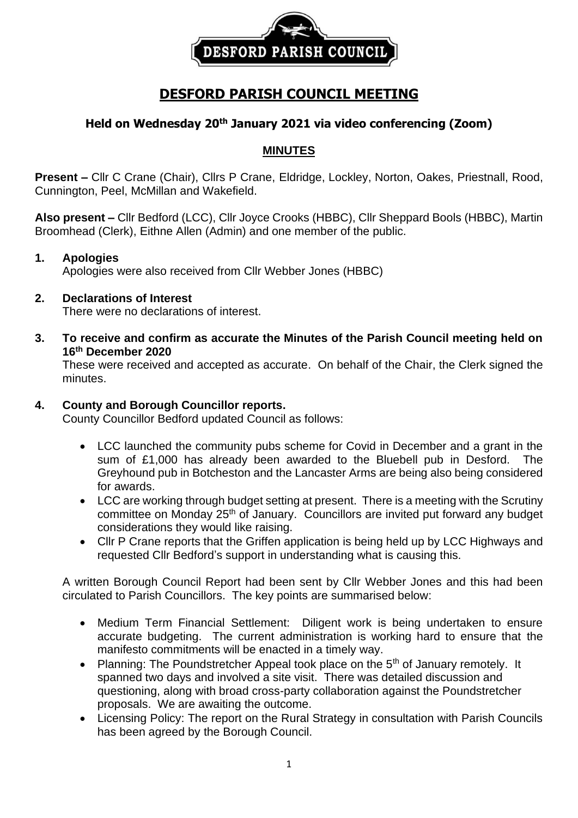

# **DESFORD PARISH COUNCIL MEETING**

## **Held on Wednesday 20th January 2021 via video conferencing (Zoom)**

#### **MINUTES**

**Present –** Cllr C Crane (Chair), Cllrs P Crane, Eldridge, Lockley, Norton, Oakes, Priestnall, Rood, Cunnington, Peel, McMillan and Wakefield.

**Also present –** Cllr Bedford (LCC), Cllr Joyce Crooks (HBBC), Cllr Sheppard Bools (HBBC), Martin Broomhead (Clerk), Eithne Allen (Admin) and one member of the public.

#### **1. Apologies**

Apologies were also received from Cllr Webber Jones (HBBC)

#### **2. Declarations of Interest**

There were no declarations of interest.

**3. To receive and confirm as accurate the Minutes of the Parish Council meeting held on 16 th December 2020**

These were received and accepted as accurate. On behalf of the Chair, the Clerk signed the minutes.

### **4. County and Borough Councillor reports.**

County Councillor Bedford updated Council as follows:

- LCC launched the community pubs scheme for Covid in December and a grant in the sum of £1,000 has already been awarded to the Bluebell pub in Desford. The Greyhound pub in Botcheston and the Lancaster Arms are being also being considered for awards.
- LCC are working through budget setting at present. There is a meeting with the Scrutiny committee on Monday 25<sup>th</sup> of January. Councillors are invited put forward any budget considerations they would like raising.
- Cllr P Crane reports that the Griffen application is being held up by LCC Highways and requested Cllr Bedford's support in understanding what is causing this.

A written Borough Council Report had been sent by Cllr Webber Jones and this had been circulated to Parish Councillors. The key points are summarised below:

- Medium Term Financial Settlement: Diligent work is being undertaken to ensure accurate budgeting. The current administration is working hard to ensure that the manifesto commitments will be enacted in a timely way.
- Planning: The Poundstretcher Appeal took place on the 5<sup>th</sup> of January remotely. It spanned two days and involved a site visit. There was detailed discussion and questioning, along with broad cross-party collaboration against the Poundstretcher proposals. We are awaiting the outcome.
- Licensing Policy: The report on the Rural Strategy in consultation with Parish Councils has been agreed by the Borough Council.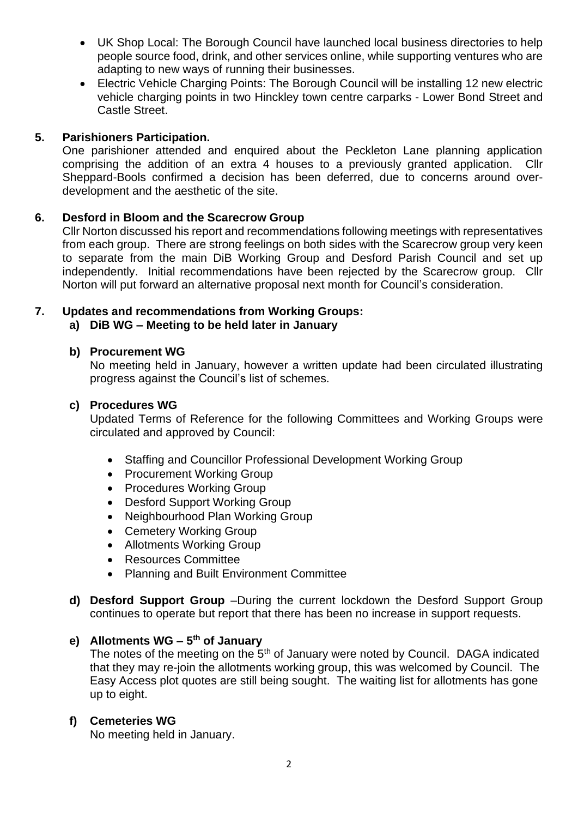- UK Shop Local: The Borough Council have launched local business directories to help people source food, drink, and other services online, while supporting ventures who are adapting to new ways of running their businesses.
- Electric Vehicle Charging Points: The Borough Council will be installing 12 new electric vehicle charging points in two Hinckley town centre carparks - Lower Bond Street and Castle Street.

### **5. Parishioners Participation.**

One parishioner attended and enquired about the Peckleton Lane planning application comprising the addition of an extra 4 houses to a previously granted application. Cllr Sheppard-Bools confirmed a decision has been deferred, due to concerns around overdevelopment and the aesthetic of the site.

### **6. Desford in Bloom and the Scarecrow Group**

Cllr Norton discussed his report and recommendations following meetings with representatives from each group. There are strong feelings on both sides with the Scarecrow group very keen to separate from the main DiB Working Group and Desford Parish Council and set up independently. Initial recommendations have been rejected by the Scarecrow group. Cllr Norton will put forward an alternative proposal next month for Council's consideration.

### **7. Updates and recommendations from Working Groups:**

### **a) DiB WG – Meeting to be held later in January**

### **b) Procurement WG**

No meeting held in January, however a written update had been circulated illustrating progress against the Council's list of schemes.

### **c) Procedures WG**

Updated Terms of Reference for the following Committees and Working Groups were circulated and approved by Council:

- Staffing and Councillor Professional Development Working Group
- Procurement Working Group
- Procedures Working Group
- Desford Support Working Group
- Neighbourhood Plan Working Group
- Cemetery Working Group
- Allotments Working Group
- Resources Committee
- Planning and Built Environment Committee
- **d) Desford Support Group** –During the current lockdown the Desford Support Group continues to operate but report that there has been no increase in support requests.

#### **e) Allotments WG – 5 th of January**

The notes of the meeting on the 5<sup>th</sup> of January were noted by Council. DAGA indicated that they may re-join the allotments working group, this was welcomed by Council. The Easy Access plot quotes are still being sought. The waiting list for allotments has gone up to eight.

### **f) Cemeteries WG**

No meeting held in January.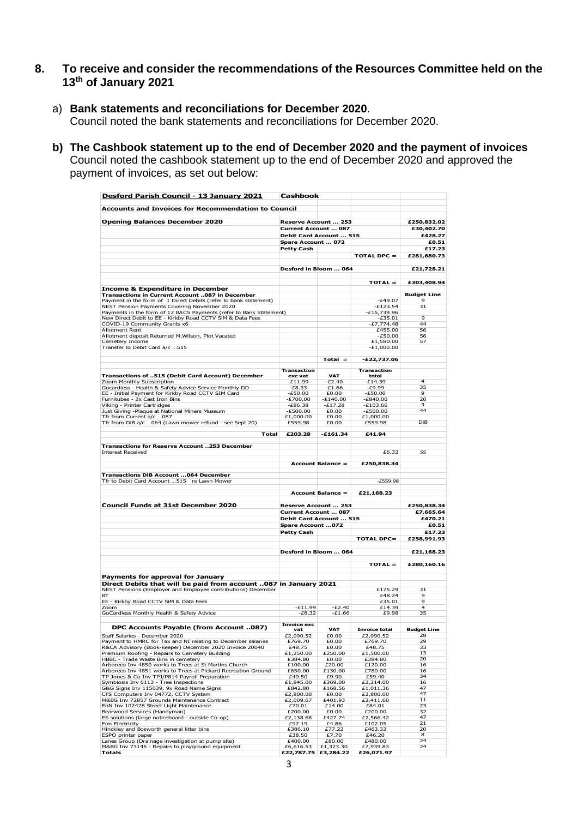#### **8. To receive and consider the recommendations of the Resources Committee held on the 13th of January 2021**

- a) **Bank statements and reconciliations for December 2020**. Council noted the bank statements and reconciliations for December 2020.
- **b) The Cashbook statement up to the end of December 2020 and the payment of invoices**  Council noted the cashbook statement up to the end of December 2020 and approved the payment of invoices, as set out below:

| Desford Parish Council - 13 January 2021                                                                        | Cashbook                                     |                          |                           |                     |
|-----------------------------------------------------------------------------------------------------------------|----------------------------------------------|--------------------------|---------------------------|---------------------|
| <b>Accounts and Invoices for Recommendation to Council</b>                                                      |                                              |                          |                           |                     |
|                                                                                                                 |                                              |                          |                           | £250,832.02         |
| <b>Opening Balances December 2020</b>                                                                           | Reserve Account  253<br>Current Account  087 |                          |                           | £30,402.70          |
|                                                                                                                 | Debit Card Account  515                      |                          |                           | £428.27             |
|                                                                                                                 | Spare Account  072                           |                          |                           | £0.51               |
|                                                                                                                 | <b>Petty Cash</b>                            |                          |                           | £17.23              |
|                                                                                                                 |                                              |                          | <b>TOTAL DPC =</b>        | £281,680.73         |
|                                                                                                                 | Desford in Bloom  064                        |                          |                           |                     |
|                                                                                                                 |                                              |                          |                           | £21,728.21          |
| <b>Income &amp; Expenditure in December</b>                                                                     |                                              |                          | TOTAL =                   | £303,408.94         |
| Transactions in Current Account 087 in December                                                                 |                                              |                          |                           | <b>Budget Line</b>  |
| Payment in the form of 1 Direct Debits (refer to bank statement)                                                |                                              |                          | $-E49.07$                 | 9                   |
| NEST Pension Payments Covering November 2020                                                                    |                                              |                          | $-£123.54$                | 31                  |
| Payments in the form of 12 BACS Payments (refer to Bank Statement)                                              |                                              |                          | $-E15,739.96$             |                     |
| New Direct Debit to EE - Kirkby Road CCTV SiM & Data Fees<br>COVID-19 Community Grants x6                       |                                              |                          | $-£35.01$<br>$-E7,774.48$ | 9<br>44             |
| <b>Allotment Rent</b>                                                                                           |                                              |                          | £455.00                   | 56                  |
| Allotment deposit Returned M.Wilson, Plot Vacated                                                               |                                              |                          | -£50.00                   | 56                  |
| Cemetery Income                                                                                                 |                                              |                          | £1,580.00                 | 57                  |
| Transfer to Debit Card a/c 515                                                                                  |                                              |                          | $-E1,000.00$              |                     |
|                                                                                                                 |                                              | $Total =$                | $-E22,737.06$             |                     |
|                                                                                                                 | <b>Transaction</b>                           |                          | Transaction               |                     |
| Transactions of 515 (Debit Card Account) December                                                               | exc vat<br>$-£11.99$                         | <b>VAT</b><br>$-E2.40$   | total<br>$-E14.39$        | 4                   |
| Zoom Monthly Subscription<br>Gocardless - Health & Safety Advice Service Monthly DD                             | $-E8.33$                                     | $-51.66$                 | $-£9.99$                  | 35                  |
| EE - Initial Payment for Kirkby Road CCTV SIM Card                                                              | $-£50.00$                                    | £0.00                    | $-£50.00$                 | 9                   |
| Furnitubes - 2x Cast Iron Bins                                                                                  | $-E700.00$                                   | $-E140.00$               | $-E840.00$                | 20                  |
| Viking - Printer Cartridges                                                                                     | $-£86.38$                                    | $-E17.28$                | $-E103.66$                | з                   |
| Just Giving -Plaque at National Miners Museum                                                                   | $-E500.00$                                   | £0.00<br>£0.00           | $-E500.00$                | 44                  |
| Tfr from Current a/c  087<br>Tfr from DiB a/c 064 (Lawn mower refund - see Sept 20)                             | £1,000.00<br>£559.98                         | £0.00                    | £1,000.00<br>£559.98      | DiB                 |
|                                                                                                                 |                                              |                          |                           |                     |
| Total                                                                                                           | £203.28                                      | $-£161.34$               | £41.94                    |                     |
| Transactions for Reserve Account 253 December<br><b>Interest Received</b>                                       |                                              |                          | £6.32                     | 55                  |
|                                                                                                                 |                                              |                          |                           |                     |
|                                                                                                                 |                                              | <b>Account Balance =</b> | £250,838.34               |                     |
| <b>Transactions DiB Account  064 December</b>                                                                   |                                              |                          |                           |                     |
| Tfr to Debit Card Account 515 re Lawn Mower                                                                     |                                              |                          | $-E559.98$                |                     |
|                                                                                                                 |                                              | <b>Account Balance =</b> | £21,168.23                |                     |
| <b>Council Funds at 31st December 2020</b>                                                                      | Reserve Account  253                         |                          |                           | £250,838.34         |
|                                                                                                                 | Current Account  087                         |                          |                           | £7,665.64           |
|                                                                                                                 | Debit Card Account  515                      |                          |                           | £470.21             |
|                                                                                                                 | <b>Spare Account 072</b>                     |                          |                           | £0.51               |
|                                                                                                                 | <b>Petty Cash</b>                            |                          |                           | £17.23              |
|                                                                                                                 |                                              |                          | TOTAL DPC=                | £258,991.93         |
|                                                                                                                 | Desford in Bloom  064                        |                          |                           | £21,168.23          |
|                                                                                                                 |                                              |                          | $TOTAL =$                 | £280,160.16         |
|                                                                                                                 |                                              |                          |                           |                     |
| Payments for approval for January<br>Direct Debits that will be paid from account 087 in January 2021           |                                              |                          |                           |                     |
| NEST Pensions (Employer and Employee contributions) December                                                    |                                              |                          | £175.29                   | 31                  |
| вт                                                                                                              |                                              |                          | £48.24                    | 9                   |
| EE - Kirkby Road CCTV SiM & Data Fees<br>7 <sub>oom</sub>                                                       | $-£11.99$                                    | $-E2.40$                 | £35.01<br>£14.39          | 9<br>$\overline{4}$ |
| GoCardless Monthly Health & Safety Advice                                                                       | $-E8.32$                                     | $-£1.66$                 | £9.98                     | 35                  |
|                                                                                                                 | <b>Invoice exc</b>                           |                          |                           |                     |
| DPC Accounts Payable (from Account 087)                                                                         | vat                                          | VAT                      | <b>Invoice total</b>      | <b>Budget Line</b>  |
| Staff Salaries - December 2020<br>Payment to HMRC for Tax and NI relating to December salaries                  | £2,090.52<br>£769.70                         | £0.00<br>£0.00           | £2,090.52<br>£769.70      | 28<br>29            |
| R&CA Advisory (Book-keeper) December 2020 Invoice 20040                                                         | £48.75                                       | £0.00                    | £48.75                    | 33                  |
| Premium Roofing - Repairs to Cemetery Building                                                                  | £1,250.00                                    | £250.00                  | £1,500.00                 | 13                  |
| HBBC - Trade Waste Bins in cemetery                                                                             | £384.80                                      | £0.00                    | £384.80                   | 20                  |
| Arboreco Inv 4850 works to Trees at St Martins Church                                                           | £100.00                                      | £20.00                   | £120.00                   | 16<br>16            |
| Arboreco Inv 4851 works to Trees at Pickard Recreation Ground<br>TP Jones & Co Inv TPJ/P814 Payroll Preparation | £650.00<br>£49.50                            | £130.00<br>£9.90         | £780.00<br>£59.40         | 34                  |
| Symbiosis Inv 6113 - Tree Inspections                                                                           | £1,845.00                                    | £369.00                  | £2,214.00                 | 16                  |
| G&G Signs Inv 115039, 9x Road Name Signs                                                                        | £842.80                                      | £168.56                  | £1,011.36                 | 47                  |
| CFS Computers Inv 04772, CCTV System                                                                            | £2,800.00                                    | £0.00                    | £2,800.00                 | 47                  |
| M&BG Inv 72857 Grounds Maintenance Contract<br>EoN Inv 102428 Street Light Maintenance                          | £2,009.67<br>£70.01                          | £401.93<br>£14.00        | £2,411.60<br>£84.01       | 11<br>23            |
| Bearwood Services (Handyman)                                                                                    | £200.00                                      | £0.00                    | £200.00                   | 32                  |
| ES solutions (large noticeboard - outside Co-op)                                                                | £2,138.68                                    | £427.74                  | £2,566.42                 | 47                  |
| Eon Electricity                                                                                                 | £97.19                                       | £4.86                    | £102.05                   | 21                  |
| Hinckley and Bosworth general litter bins                                                                       | £386.10                                      | £77.22                   | £463.32                   | 20                  |
| ESPO printer paper<br>Lanes Group (Drainage investigation at pump site)                                         | £38.50<br>£400.00                            | £7.70<br>£80.00          | £46.20<br>£480.00         | 8<br>24             |
| M&BG Inv 73145 - Repairs to playground equipment                                                                | £6,616.53                                    | £1,323.30                | £7,939.83                 | 24                  |
| <b>Totals</b>                                                                                                   |                                              | £22,787.75 £3,284.22     | £26,071.97                |                     |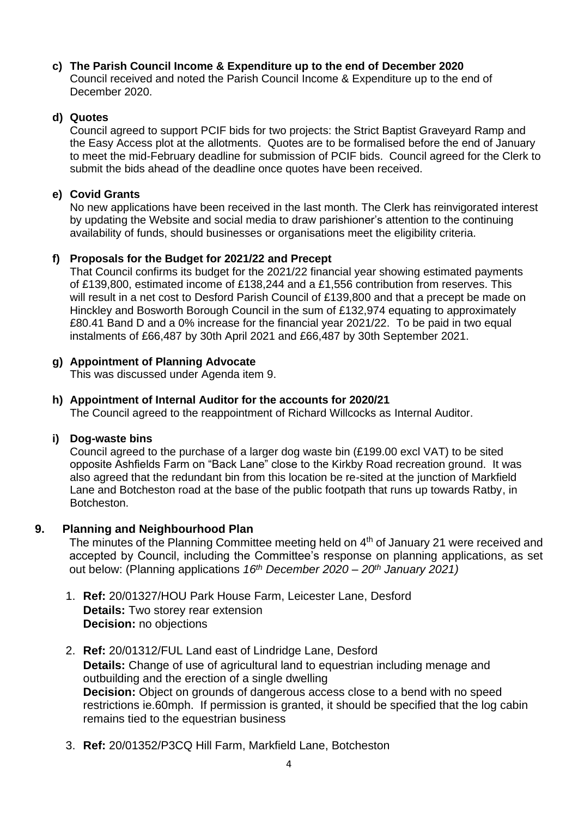# **c) The Parish Council Income & Expenditure up to the end of December 2020**

Council received and noted the Parish Council Income & Expenditure up to the end of December 2020.

#### **d) Quotes**

Council agreed to support PCIF bids for two projects: the Strict Baptist Graveyard Ramp and the Easy Access plot at the allotments. Quotes are to be formalised before the end of January to meet the mid-February deadline for submission of PCIF bids. Council agreed for the Clerk to submit the bids ahead of the deadline once quotes have been received.

#### **e) Covid Grants**

No new applications have been received in the last month. The Clerk has reinvigorated interest by updating the Website and social media to draw parishioner's attention to the continuing availability of funds, should businesses or organisations meet the eligibility criteria.

#### **f) Proposals for the Budget for 2021/22 and Precept**

That Council confirms its budget for the 2021/22 financial year showing estimated payments of £139,800, estimated income of £138,244 and a £1,556 contribution from reserves. This will result in a net cost to Desford Parish Council of £139,800 and that a precept be made on Hinckley and Bosworth Borough Council in the sum of £132,974 equating to approximately £80.41 Band D and a 0% increase for the financial year 2021/22. To be paid in two equal instalments of £66,487 by 30th April 2021 and £66,487 by 30th September 2021.

#### **g) Appointment of Planning Advocate**

This was discussed under Agenda item 9.

#### **h) Appointment of Internal Auditor for the accounts for 2020/21**

The Council agreed to the reappointment of Richard Willcocks as Internal Auditor.

#### **i) Dog-waste bins**

Council agreed to the purchase of a larger dog waste bin (£199.00 excl VAT) to be sited opposite Ashfields Farm on "Back Lane" close to the Kirkby Road recreation ground. It was also agreed that the redundant bin from this location be re-sited at the junction of Markfield Lane and Botcheston road at the base of the public footpath that runs up towards Ratby, in Botcheston.

#### **9. Planning and Neighbourhood Plan**

The minutes of the Planning Committee meeting held on 4<sup>th</sup> of January 21 were received and accepted by Council, including the Committee's response on planning applications, as set out below: (Planning applications *16th December 2020 – 20th January 2021)*

- 1. **Ref:** 20/01327/HOU Park House Farm, Leicester Lane, Desford **Details:** Two storey rear extension **Decision:** no objections
- 2. **Ref:** 20/01312/FUL Land east of Lindridge Lane, Desford **Details:** Change of use of agricultural land to equestrian including menage and outbuilding and the erection of a single dwelling **Decision:** Object on grounds of dangerous access close to a bend with no speed restrictions ie.60mph. If permission is granted, it should be specified that the log cabin remains tied to the equestrian business
- 3. **Ref:** 20/01352/P3CQ Hill Farm, Markfield Lane, Botcheston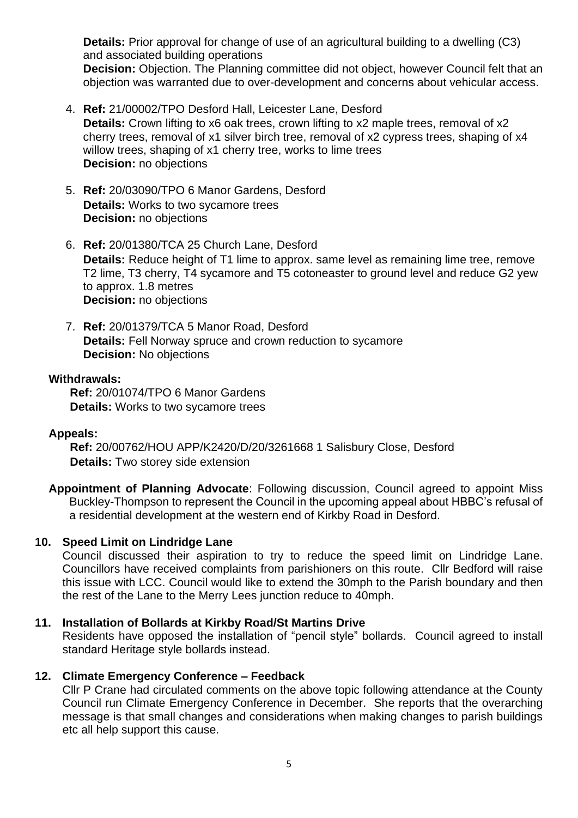**Details:** Prior approval for change of use of an agricultural building to a dwelling (C3) and associated building operations

**Decision:** Objection. The Planning committee did not object, however Council felt that an objection was warranted due to over-development and concerns about vehicular access.

- 4. **Ref:** 21/00002/TPO Desford Hall, Leicester Lane, Desford **Details:** Crown lifting to x6 oak trees, crown lifting to x2 maple trees, removal of x2 cherry trees, removal of x1 silver birch tree, removal of x2 cypress trees, shaping of x4 willow trees, shaping of x1 cherry tree, works to lime trees **Decision:** no objections
- 5. **Ref:** 20/03090/TPO 6 Manor Gardens, Desford **Details:** Works to two sycamore trees **Decision:** no objections
- 6. **Ref:** 20/01380/TCA 25 Church Lane, Desford **Details:** Reduce height of T1 lime to approx. same level as remaining lime tree, remove T2 lime, T3 cherry, T4 sycamore and T5 cotoneaster to ground level and reduce G2 yew to approx. 1.8 metres **Decision:** no objections
- 7. **Ref:** 20/01379/TCA 5 Manor Road, Desford **Details:** Fell Norway spruce and crown reduction to sycamore **Decision:** No objections

#### **Withdrawals:**

**Ref:** 20/01074/TPO 6 Manor Gardens **Details:** Works to two sycamore trees

#### **Appeals:**

**Ref:** 20/00762/HOU APP/K2420/D/20/3261668 1 Salisbury Close, Desford **Details:** Two storey side extension

**Appointment of Planning Advocate**: Following discussion, Council agreed to appoint Miss Buckley-Thompson to represent the Council in the upcoming appeal about HBBC's refusal of a residential development at the western end of Kirkby Road in Desford.

#### **10. Speed Limit on Lindridge Lane**

Council discussed their aspiration to try to reduce the speed limit on Lindridge Lane. Councillors have received complaints from parishioners on this route. Cllr Bedford will raise this issue with LCC. Council would like to extend the 30mph to the Parish boundary and then the rest of the Lane to the Merry Lees junction reduce to 40mph.

#### **11. Installation of Bollards at Kirkby Road/St Martins Drive**

Residents have opposed the installation of "pencil style" bollards. Council agreed to install standard Heritage style bollards instead.

#### **12. Climate Emergency Conference – Feedback**

Cllr P Crane had circulated comments on the above topic following attendance at the County Council run Climate Emergency Conference in December. She reports that the overarching message is that small changes and considerations when making changes to parish buildings etc all help support this cause.